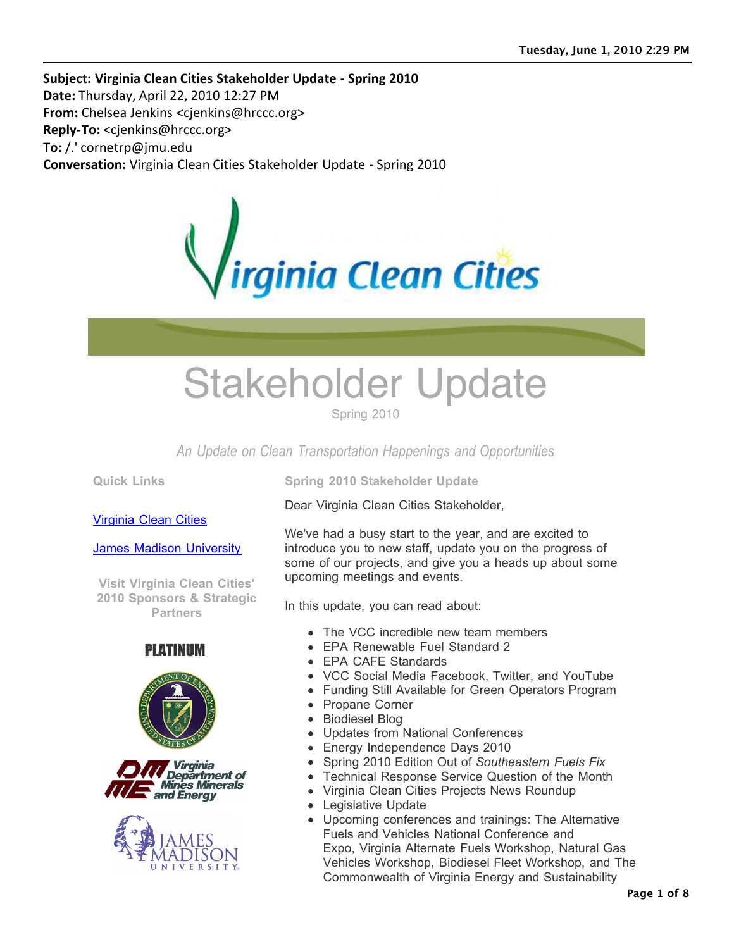**Subject: Virginia Clean Cities Stakeholder Update - Spring 2010 Date: Thursday, April 22, 2010 12:27 PM From:** Chelsea Jenkins <cjenkins@hrccc.org> **Reply-To:** <cjenkins@hrccc.org> **To:** / ' cornetrp@jmu.edu **Conversation:** Virginia Clean Cities Stakeholder Update - Spring 2010



# Stakeholder Update

Spring 2010

*An Update on Clean Transportation Happenings and Opportunities*

**Quick Links**

Virginia Clean Cities

James Madison University

**Visit Virginia Clean Cities' 2010 Sponsors & Strategic Partners**









**Spring 2010 Stakeholder Update**

Dear Virginia Clean Cities Stakeholder,

We've had a busy start to the year, and are excited to introduce you to new staff, update you on the progress of some of our projects, and give you a heads up about some upcoming meetings and events.

In this update, you can read about:

- The VCC incredible new team members
- EPA Renewable Fuel Standard 2
- EPA CAFE Standards
- VCC Social Media Facebook, Twitter, and YouTube
- Funding Still Available for Green Operators Program
- Propane Corner
- Biodiesel Blog
- Updates from National Conferences
- Energy Independence Days 2010
- Spring 2010 Edition Out of *Southeastern Fuels Fix*
- Technical Response Service Question of the Month
- Virginia Clean Cities Projects News Roundup
- Legislative Update
- Upcoming conferences and trainings: The Alternative Fuels and Vehicles National Conference and Expo, Virginia Alternate Fuels Workshop, Natural Gas Vehicles Workshop, Biodiesel Fleet Workshop, and The Commonwealth of Virginia Energy and Sustainability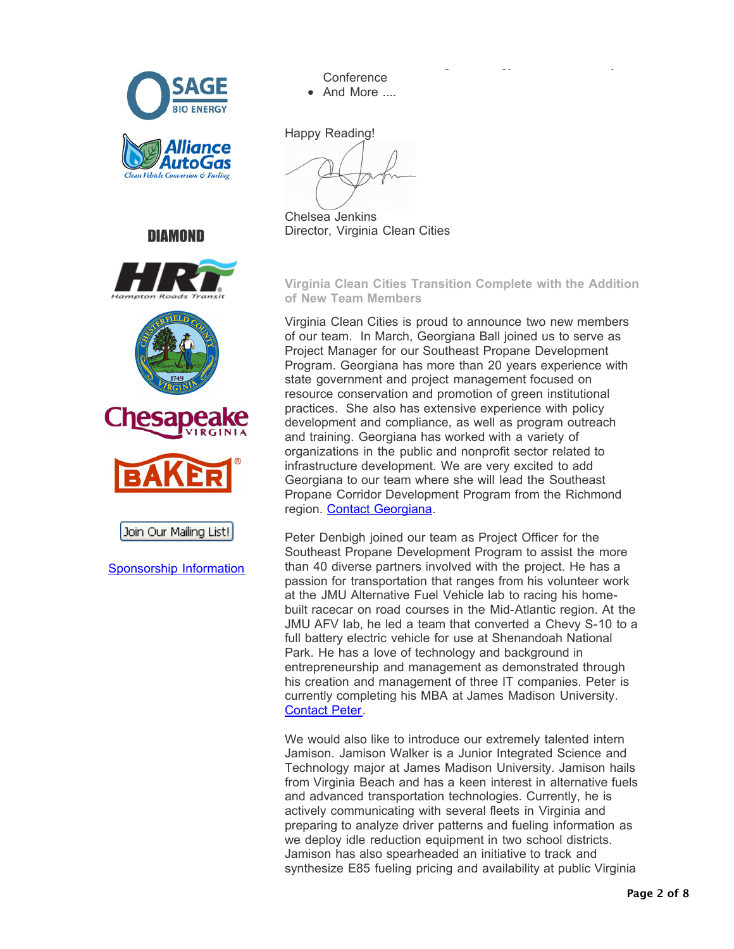







Join Our Mailing List!

Sponsorship Information

Commonwealth of Virginia Energy and Sustainability **Conference** And More ....

Happy Reading!

Chelsea Jenkins Director, Virginia Clean Cities

**Virginia Clean Cities Transition Complete with the Addition of New Team Members** 

Virginia Clean Cities is proud to announce two new members of our team. In March, Georgiana Ball joined us to serve as Project Manager for our Southeast Propane Development Program. Georgiana has more than 20 years experience with state government and project management focused on resource conservation and promotion of green institutional practices. She also has extensive experience with policy development and compliance, as well as program outreach and training. Georgiana has worked with a variety of organizations in the public and nonprofit sector related to infrastructure development. We are very excited to add Georgiana to our team where she will lead the Southeast Propane Corridor Development Program from the Richmond region. Contact Georgiana.

Peter Denbigh joined our team as Project Officer for the Southeast Propane Development Program to assist the more than 40 diverse partners involved with the project. He has a passion for transportation that ranges from his volunteer work at the JMU Alternative Fuel Vehicle lab to racing his homebuilt racecar on road courses in the Mid-Atlantic region. At the JMU AFV lab, he led a team that converted a Chevy S-10 to a full battery electric vehicle for use at Shenandoah National Park. He has a love of technology and background in entrepreneurship and management as demonstrated through his creation and management of three IT companies. Peter is currently completing his MBA at James Madison University. Contact Peter.

We would also like to introduce our extremely talented intern Jamison. Jamison Walker is a Junior Integrated Science and Technology major at James Madison University. Jamison hails from Virginia Beach and has a keen interest in alternative fuels and advanced transportation technologies. Currently, he is actively communicating with several fleets in Virginia and preparing to analyze driver patterns and fueling information as we deploy idle reduction equipment in two school districts. Jamison has also spearheaded an initiative to track and synthesize E85 fueling pricing and availability at public Virginia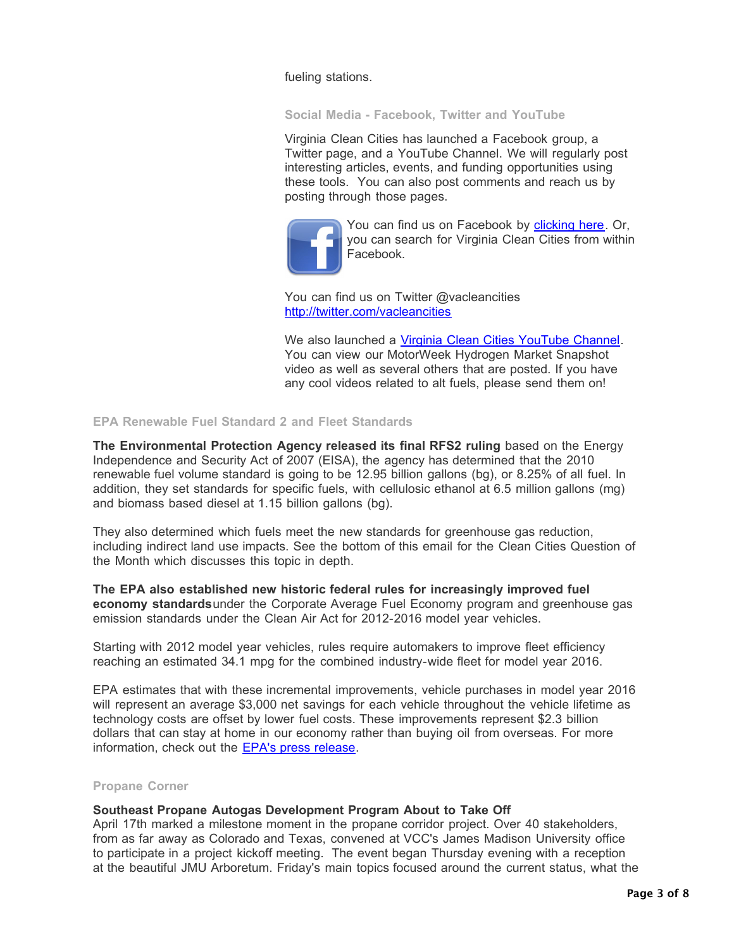fueling stations.

**Social Media - Facebook, Twitter and YouTube**

Virginia Clean Cities has launched a Facebook group, a Twitter page, and a YouTube Channel. We will regularly post interesting articles, events, and funding opportunities using these tools. You can also post comments and reach us by posting through those pages.



You can find us on Facebook by clicking here. Or, you can search for Virginia Clean Cities from within Facebook.

You can find us on Twitter @vacleancities http://twitter.com/vacleancities

We also launched a Virginia Clean Cities YouTube Channel. You can view our MotorWeek Hydrogen Market Snapshot video as well as several others that are posted. If you have any cool videos related to alt fuels, please send them on!

# **EPA Renewable Fuel Standard 2 and Fleet Standards**

**The Environmental Protection Agency released its final RFS2 ruling** based on the Energy Independence and Security Act of 2007 (EISA), the agency has determined that the 2010 renewable fuel volume standard is going to be 12.95 billion gallons (bg), or 8.25% of all fuel. In addition, they set standards for specific fuels, with cellulosic ethanol at 6.5 million gallons (mg) and biomass based diesel at 1.15 billion gallons (bg).

They also determined which fuels meet the new standards for greenhouse gas reduction, including indirect land use impacts. See the bottom of this email for the Clean Cities Question of the Month which discusses this topic in depth.

**The EPA also established new historic federal rules for increasingly improved fuel economy standards**under the Corporate Average Fuel Economy program and greenhouse gas emission standards under the Clean Air Act for 2012-2016 model year vehicles.

Starting with 2012 model year vehicles, rules require automakers to improve fleet efficiency reaching an estimated 34.1 mpg for the combined industry-wide fleet for model year 2016.

EPA estimates that with these incremental improvements, vehicle purchases in model year 2016 will represent an average \$3,000 net savings for each vehicle throughout the vehicle lifetime as technology costs are offset by lower fuel costs. These improvements represent \$2.3 billion dollars that can stay at home in our economy rather than buying oil from overseas. For more information, check out the **EPA's press release**.

#### **Propane Corner**

#### **Southeast Propane Autogas Development Program About to Take Off**

April 17th marked a milestone moment in the propane corridor project. Over 40 stakeholders, from as far away as Colorado and Texas, convened at VCC's James Madison University office to participate in a project kickoff meeting. The event began Thursday evening with a reception at the beautiful JMU Arboretum. Friday's main topics focused around the current status, what the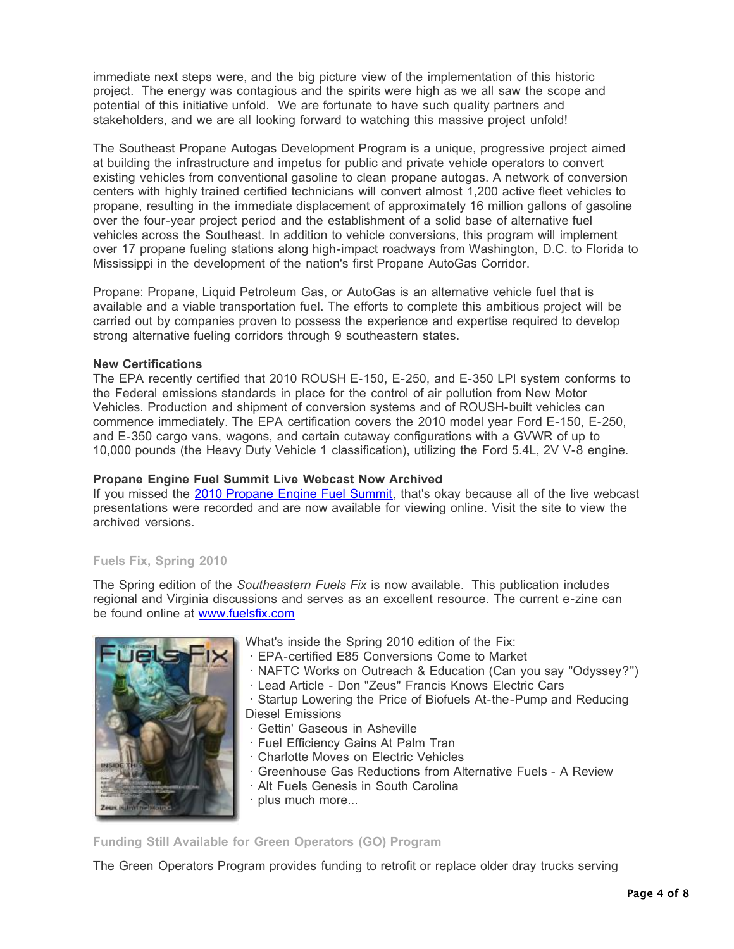immediate next steps were, and the big picture view of the implementation of this historic project. The energy was contagious and the spirits were high as we all saw the scope and potential of this initiative unfold. We are fortunate to have such quality partners and stakeholders, and we are all looking forward to watching this massive project unfold!

The Southeast Propane Autogas Development Program is a unique, progressive project aimed at building the infrastructure and impetus for public and private vehicle operators to convert existing vehicles from conventional gasoline to clean propane autogas. A network of conversion centers with highly trained certified technicians will convert almost 1,200 active fleet vehicles to propane, resulting in the immediate displacement of approximately 16 million gallons of gasoline over the four-year project period and the establishment of a solid base of alternative fuel vehicles across the Southeast. In addition to vehicle conversions, this program will implement over 17 propane fueling stations along high-impact roadways from Washington, D.C. to Florida to Mississippi in the development of the nation's first Propane AutoGas Corridor.

Propane: Propane, Liquid Petroleum Gas, or AutoGas is an alternative vehicle fuel that is available and a viable transportation fuel. The efforts to complete this ambitious project will be carried out by companies proven to possess the experience and expertise required to develop strong alternative fueling corridors through 9 southeastern states.

# **New Certifications**

The EPA recently certified that 2010 ROUSH E-150, E-250, and E-350 LPI system conforms to the Federal emissions standards in place for the control of air pollution from New Motor Vehicles. Production and shipment of conversion systems and of ROUSH-built vehicles can commence immediately. The EPA certification covers the 2010 model year Ford E-150, E-250, and E-350 cargo vans, wagons, and certain cutaway configurations with a GVWR of up to 10,000 pounds (the Heavy Duty Vehicle 1 classification), utilizing the Ford 5.4L, 2V V-8 engine.

# **Propane Engine Fuel Summit Live Webcast Now Archived**

If you missed the 2010 Propane Engine Fuel Summit, that's okay because all of the live webcast presentations were recorded and are now available for viewing online. Visit the site to view the archived versions.

# **Fuels Fix, Spring 2010**

The Spring edition of the *Southeastern Fuels Fix* is now available. This publication includes regional and Virginia discussions and serves as an excellent resource. The current e-zine can be found online at www.fuelsfix.com



What's inside the Spring 2010 edition of the Fix:

- ! EPA-certified E85 Conversions Come to Market
- ! NAFTC Works on Outreach & Education (Can you say "Odyssey?")
- ! Lead Article Don "Zeus" Francis Knows Electric Cars
- ! Startup Lowering the Price of Biofuels At-the-Pump and Reducing
- Diesel Emissions
- ! Gettin' Gaseous in Asheville
- ! Fuel Efficiency Gains At Palm Tran
- ! Charlotte Moves on Electric Vehicles
- ! Greenhouse Gas Reductions from Alternative Fuels A Review
- ! Alt Fuels Genesis in South Carolina
- · plus much more...

# **Funding Still Available for Green Operators (GO) Program**

The Green Operators Program provides funding to retrofit or replace older dray trucks serving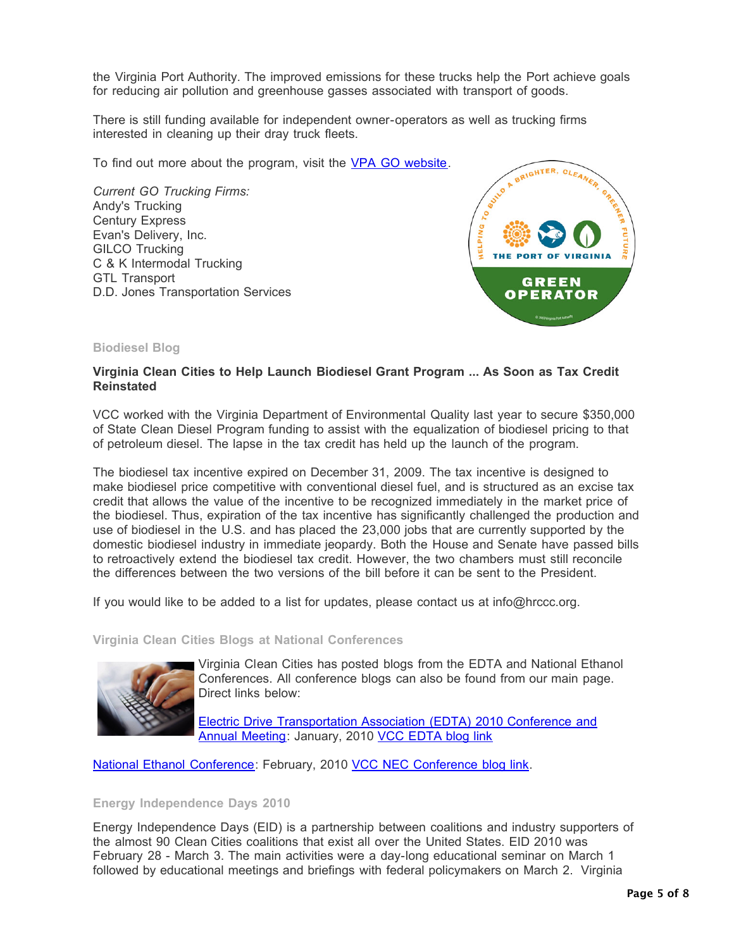the Virginia Port Authority. The improved emissions for these trucks help the Port achieve goals for reducing air pollution and greenhouse gasses associated with transport of goods.

There is still funding available for independent owner-operators as well as trucking firms interested in cleaning up their dray truck fleets.

To find out more about the program, visit the VPA GO website.

*Current GO Trucking Firms:* Andy's Trucking Century Express Evan's Delivery, Inc. GILCO Trucking C & K Intermodal Trucking GTL Transport D.D. Jones Transportation Services



#### **Biodiesel Blog**

# **Virginia Clean Cities to Help Launch Biodiesel Grant Program ... As Soon as Tax Credit Reinstated**

VCC worked with the Virginia Department of Environmental Quality last year to secure \$350,000 of State Clean Diesel Program funding to assist with the equalization of biodiesel pricing to that of petroleum diesel. The lapse in the tax credit has held up the launch of the program.

The biodiesel tax incentive expired on December 31, 2009. The tax incentive is designed to make biodiesel price competitive with conventional diesel fuel, and is structured as an excise tax credit that allows the value of the incentive to be recognized immediately in the market price of the biodiesel. Thus, expiration of the tax incentive has significantly challenged the production and use of biodiesel in the U.S. and has placed the 23,000 jobs that are currently supported by the domestic biodiesel industry in immediate jeopardy. Both the House and Senate have passed bills to retroactively extend the biodiesel tax credit. However, the two chambers must still reconcile the differences between the two versions of the bill before it can be sent to the President.

If you would like to be added to a list for updates, please contact us at info@hrccc.org.

**Virginia Clean Cities Blogs at National Conferences**



Virginia Clean Cities has posted blogs from the EDTA and National Ethanol Conferences. All conference blogs can also be found from our main page. Direct links below:

Electric Drive Transportation Association (EDTA) 2010 Conference and Annual Meeting: January, 2010 VCC EDTA blog link

National Ethanol Conference: February, 2010 VCC NEC Conference blog link.

#### **Energy Independence Days 2010**

Energy Independence Days (EID) is a partnership between coalitions and industry supporters of the almost 90 Clean Cities coalitions that exist all over the United States. EID 2010 was February 28 - March 3. The main activities were a day-long educational seminar on March 1 followed by educational meetings and briefings with federal policymakers on March 2. Virginia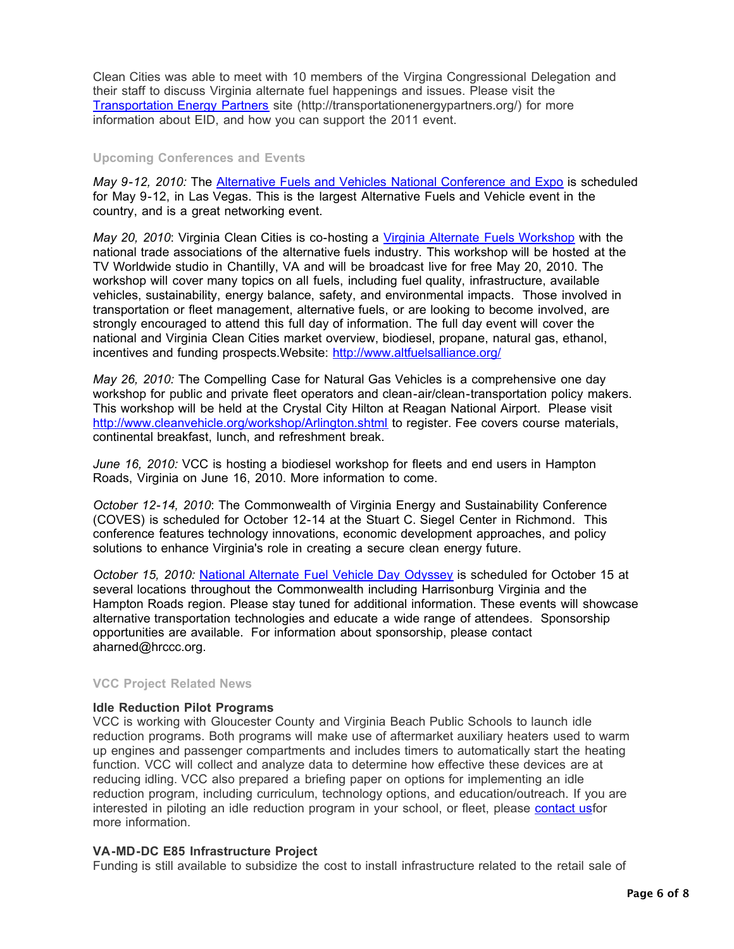Clean Cities was able to meet with 10 members of the Virgina Congressional Delegation and their staff to discuss Virginia alternate fuel happenings and issues. Please visit the Transportation Energy Partners site (http://transportationenergypartners.org/) for more information about EID, and how you can support the 2011 event.

#### **Upcoming Conferences and Events**

*May 9-12, 2010:* The Alternative Fuels and Vehicles National Conference and Expo is scheduled for May 9-12, in Las Vegas. This is the largest Alternative Fuels and Vehicle event in the country, and is a great networking event.

*May 20, 2010*: Virginia Clean Cities is co-hosting a Virginia Alternate Fuels Workshop with the national trade associations of the alternative fuels industry. This workshop will be hosted at the TV Worldwide studio in Chantilly, VA and will be broadcast live for free May 20, 2010. The workshop will cover many topics on all fuels, including fuel quality, infrastructure, available vehicles, sustainability, energy balance, safety, and environmental impacts. Those involved in transportation or fleet management, alternative fuels, or are looking to become involved, are strongly encouraged to attend this full day of information. The full day event will cover the national and Virginia Clean Cities market overview, biodiesel, propane, natural gas, ethanol, incentives and funding prospects.Website: http://www.altfuelsalliance.org/

*May 26, 2010:* The Compelling Case for Natural Gas Vehicles is a comprehensive one day workshop for public and private fleet operators and clean-air/clean-transportation policy makers. This workshop will be held at the Crystal City Hilton at Reagan National Airport. Please visit http://www.cleanvehicle.org/workshop/Arlington.shtml to register. Fee covers course materials, continental breakfast, lunch, and refreshment break.

*June 16, 2010:* VCC is hosting a biodiesel workshop for fleets and end users in Hampton Roads, Virginia on June 16, 2010. More information to come.

*October 12-14, 2010*: The Commonwealth of Virginia Energy and Sustainability Conference (COVES) is scheduled for October 12-14 at the Stuart C. Siegel Center in Richmond. This conference features technology innovations, economic development approaches, and policy solutions to enhance Virginia's role in creating a secure clean energy future.

*October 15, 2010:* National Alternate Fuel Vehicle Day Odyssey is scheduled for October 15 at several locations throughout the Commonwealth including Harrisonburg Virginia and the Hampton Roads region. Please stay tuned for additional information. These events will showcase alternative transportation technologies and educate a wide range of attendees. Sponsorship opportunities are available. For information about sponsorship, please contact aharned@hrccc.org.

#### **VCC Project Related News**

#### **Idle Reduction Pilot Programs**

VCC is working with Gloucester County and Virginia Beach Public Schools to launch idle reduction programs. Both programs will make use of aftermarket auxiliary heaters used to warm up engines and passenger compartments and includes timers to automatically start the heating function. VCC will collect and analyze data to determine how effective these devices are at reducing idling. VCC also prepared a briefing paper on options for implementing an idle reduction program, including curriculum, technology options, and education/outreach. If you are interested in piloting an idle reduction program in your school, or fleet, please contact usfor more information.

#### **VA-MD-DC E85 Infrastructure Project**

Funding is still available to subsidize the cost to install infrastructure related to the retail sale of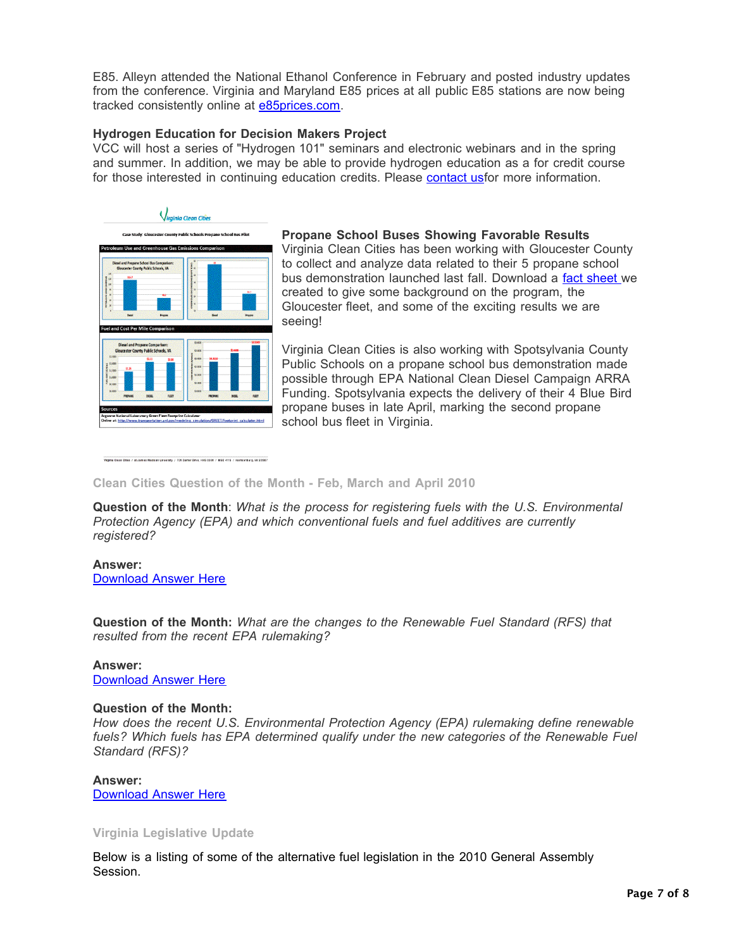E85. Alleyn attended the National Ethanol Conference in February and posted industry updates from the conference. Virginia and Maryland E85 prices at all public E85 stations are now being tracked consistently online at **e85prices.com**.

# **Hydrogen Education for Decision Makers Project**

VCC will host a series of "Hydrogen 101" seminars and electronic webinars and in the spring and summer. In addition, we may be able to provide hydrogen education as a for credit course for those interested in continuing education credits. Please contact usfor more information.



Veginia Ciean Cities / at James Madison University / 701 Carrier Drive, HHS 0301 / MSC 4115 / Harrisonburg, VA 22807

# **Propane School Buses Showing Favorable Results**

Virginia Clean Cities has been working with Gloucester County to collect and analyze data related to their 5 propane school bus demonstration launched last fall. Download a fact sheet we created to give some background on the program, the Gloucester fleet, and some of the exciting results we are seeing!

Virginia Clean Cities is also working with Spotsylvania County Public Schools on a propane school bus demonstration made possible through EPA National Clean Diesel Campaign ARRA Funding. Spotsylvania expects the delivery of their 4 Blue Bird propane buses in late April, marking the second propane school bus fleet in Virginia.

#### **Clean Cities Question of the Month - Feb, March and April 2010**

**Question of the Month**: *What is the process for registering fuels with the U.S. Environmental Protection Agency (EPA) and which conventional fuels and fuel additives are currently registered?* 

#### **Answer:** Download Answer Here

**Question of the Month:** *What are the changes to the Renewable Fuel Standard (RFS) that resulted from the recent EPA rulemaking?*

#### **Answer:**

Download Answer Here

#### **Question of the Month:**

*How does the recent U.S. Environmental Protection Agency (EPA) rulemaking define renewable fuels? Which fuels has EPA determined qualify under the new categories of the Renewable Fuel Standard (RFS)?*

#### **Answer:**

Download Answer Here

#### **Virginia Legislative Update**

Below is a listing of some of the alternative fuel legislation in the 2010 General Assembly Session.